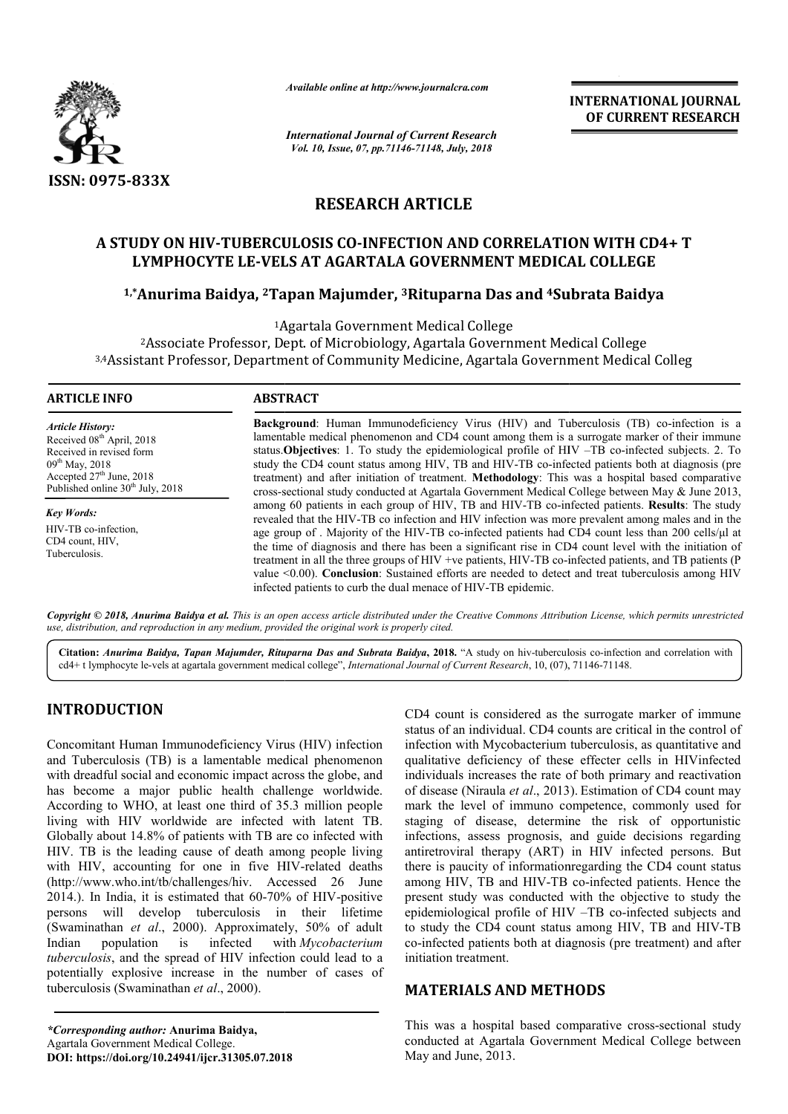

*Available online at http://www.journalcra.com*

*International Journal of Current Research Vol. 10, Issue, 07, pp.71146-71148, July, 2018*

**INTERNATIONAL JOURNAL OF CURRENT RESEARCH**

# **RESEARCH ARTICLE**

# **A STUDY ON HIV-TUBERCULOSIS CO TUBERCULOSIS CO-INFECTION AND CORRELATION WITH CD4+ T LYMPHOCYTE LE-VELS AT AGARTALA GOVERNMENT MEDICAL COLLEGE** rUDY ON HIV-TUBERCULOSIS CO-INFECTION AND CORRELATION WITH CD4<br>LYMPHOCYTE LE-VELS AT AGARTALA GOVERNMENT MEDICAL COLLEGE<br><sup>1,\*</sup>Anurima Baidya, <sup>2</sup>Tapan Majumder, <sup>3</sup>Rituparna Das and <sup>4</sup>Subrata Baidya

1Agartala Government Medical College

2Associate Professor, Dept. of Microbiology, Agartala Government Medical College <sup>2</sup>Associate Professor, Dept. of Microbiology, Agartala Government Medical<br><sup>3,4</sup>Assistant Professor, Department of Community Medicine, Agartala Government Medical Colleg

#### **ARTICLE INFO ABSTRACT**

*Article History:* Received 08<sup>th</sup> April, 2018 Received in revised form 09<sup>th</sup> May, 2018 Accepted  $27<sup>th</sup>$  June,  $2018$ Published online  $30<sup>th</sup>$  July, 2018

*Key Words:* HIV-TB co-infection, CD4 count, HIV, Tuberculosis.

**Background**: Human Immunodeficiency Virus (HIV) and Tuberculosis (TB) co-infection is a lamentable medical phenomenon and CD4 count among them is a surrogate marker of their immune status.**Objectives** : 1. To study the epidemiological profile of HIV –TB co-infected subjects. 2. To study the CD4 count status among HIV, TB and HIV-TB co-infected patients both at diagnosis (pre treatment) and after initiation of treatment. **Methodology**: This was a hospital based comparative cross-sectional study conducted at Agartala Government Medical College between May & June 2013, among 60 patients in each group of HIV, TB and HIV-TB co-infected patients. revealed that the HIV-TB co infection and HIV infection was more prevalent among males and in the age group of . Majority of the HIV-TB co-infected patients had CD4 count less than 200 cells/μl at the time of diagnosis and there has been a significant rise in CD4 count level with the initiation of treatment in all the three groups of HIV +ve patients, HIV-TB co-infected patient value <0.00). Conclusion: Sustained efforts are needed to detect and treat tuberculosis among HIV infected patients to curb the dual menace of HIV-TB epidemic. This was a hospital based comparative<br>cal College between May & June 2013,<br>o-infected patients. **Results**: The study revealed that the HIV-TB co infection and HIV infection was more prevalent among males and in the age group of . Majority of the HIV-TB co-infected patients had CD4 count less than 200 cells/ $\mu$ l at the time of diagnosis

Copyright © 2018, Anurima Baidya et al. This is an open access article distributed under the Creative Commons Attribution License, which permits unrestrictea *use, distribution, and reproduction in any medium, provided the original work is properly cited.*

Citation: Anurima Baidya, Tapan Majumder, Rituparna Das and Subrata Baidya, 2018. "A study on hiv-tuberculosis co-infection and correlation with cd4+ t lymphocyte le-vels at agartala government medical college", *International Journal of Current Research*, 10, (07), 71146-71148.

# **INTRODUCTION**

Concomitant Human Immunodeficiency Virus (HIV) infection and Tuberculosis (TB) is a lamentable medical phenomenon with dreadful social and economic impact across the globe, and has become a major public health challenge worldwide. According to WHO, at least one third of 35.3 million people living with HIV worldwide are infected with latent TB. Globally about 14.8% of patients with TB are co infected with HIV. TB is the leading cause of death among people living with HIV, accounting for one in five HIV-related deaths (http://www.who.int/tb/challenges/hiv. Accessed 26 June  $2014$ .). In India, it is estimated that  $60-70\%$  of HIV-positive persons will develop tuberculosis in their lifetime (Swaminathan *et al*., 2000). Approximately, 50% of adult Indian population is infected *tuberculosis*, and the spread of HIV infection could lead to a potentially explosive increase in the number of cases of tuberculosis (Swaminathan *et al*., 2000). *Mycobacterium*  CD4 count is considered as the surrogate marker of immune status of an individual. CD4 counts are critical in the control of infection with Mycobacterium tuberculosis, as quantitative and qualitative deficiency of these effecter cells in HIVinfected individuals increases the rate of both primary and reactivation of disease (Niraula *et al*., 2013 mark the level of immuno competence, commonly used for staging of disease, determine the risk of opportunistic infections, assess prognosis, and guide decisions regarding antiretroviral therapy (ART) in HIV infected persons. But there is paucity of informationregarding the CD4 count status among HIV, TB and HIV-TB co-infected patients. Hence the present study was conducted with the objective to study the present study was conducted with the objective to study the epidemiological profile of HIV  $-TB$  co-infected subjects and to study the CD4 count status among HIV, TB and HIV-TB co-infected patients both at diagnosis (pre treatment) and after initiation treatment. nt is considered as the surrogate marker of immune<br>an individual. CD4 counts are critical in the control of<br>with Mycobacterium tuberculosis, as quantitative and % of these effecter cells in HIVinfected the rate of both primary and reactivation  $al$ , 2013). Estimation of CD4 count may staging of disease, determine the risk of opportunistic<br>infections, assess prognosis, and guide decisions regarding<br>antiretroviral therapy (ART) in HIV infected persons. But<br>there is paucity of informationregarding the CD4 **NAL JOURNAL**<br>
NT RESEARCH<br>
NT RESEARCH<br>
NT RESEARCH<br>
Co-infection is a<br>
co-infection is a<br>
co-infection is a<br>
er of their immune<br>
ted subjects. 2. To<br>
that diagnosis (pre<br>
based comparative May & June 2013,<br>
Results: The

## **MATERIALS AND METHODS METHODS**

*\*Corresponding author:* **Anurima Baidya,** Agartala Government Medical College. **DOI: https://doi.org/10.24941/ijcr.31305.07.2018**

This was a hospital based comparative cross-sectional study conducted at Agartala Government Medical College between May and June, 2013.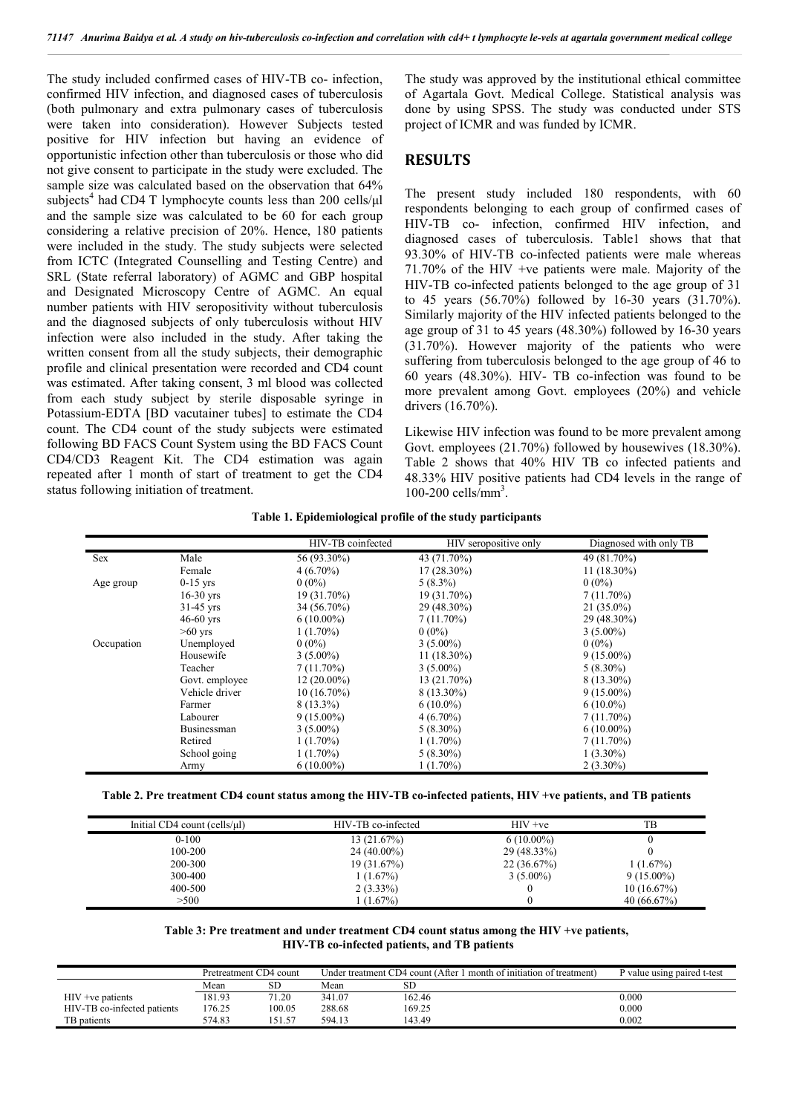The study included confirmed cases of HIV-TB co- infection, confirmed HIV infection, and diagnosed cases of tuberculosis (both pulmonary and extra pulmonary cases of tuberculosis were taken into consideration). However Subjects tested positive for HIV infection but having an evidence of opportunistic infection other than tuberculosis or those who did not give consent to participate in the study were excluded. The sample size was calculated based on the observation that 64% subjects<sup>4</sup> had CD4 T lymphocyte counts less than 200 cells/ul and the sample size was calculated to be 60 for each group considering a relative precision of 20%. Hence, 180 patients were included in the study. The study subjects were selected from ICTC (Integrated Counselling and Testing Centre) and SRL (State referral laboratory) of AGMC and GBP hospital and Designated Microscopy Centre of AGMC. An equal number patients with HIV seropositivity without tuberculosis and the diagnosed subjects of only tuberculosis without HIV infection were also included in the study. After taking the written consent from all the study subjects, their demographic profile and clinical presentation were recorded and CD4 count was estimated. After taking consent, 3 ml blood was collected from each study subject by sterile disposable syringe in Potassium-EDTA [BD vacutainer tubes] to estimate the CD4 count. The CD4 count of the study subjects were estimated following BD FACS Count System using the BD FACS Count CD4/CD3 Reagent Kit. The CD4 estimation was again repeated after 1 month of start of treatment to get the CD4 status following initiation of treatment.

The study was approved by the institutional ethical committee of Agartala Govt. Medical College. Statistical analysis was done by using SPSS. The study was conducted under STS project of ICMR and was funded by ICMR.

### **RESULTS**

The present study included 180 respondents, with 60 respondents belonging to each group of confirmed cases of HIV-TB co- infection, confirmed HIV infection, and diagnosed cases of tuberculosis. Table1 shows that that 93.30% of HIV-TB co-infected patients were male whereas 71.70% of the HIV +ve patients were male. Majority of the HIV-TB co-infected patients belonged to the age group of 31 to 45 years (56.70%) followed by 16-30 years (31.70%). Similarly majority of the HIV infected patients belonged to the age group of 31 to 45 years (48.30%) followed by 16-30 years (31.70%). However majority of the patients who were suffering from tuberculosis belonged to the age group of 46 to 60 years (48.30%). HIV- TB co-infection was found to be more prevalent among Govt. employees (20%) and vehicle drivers (16.70%).

Likewise HIV infection was found to be more prevalent among Govt. employees  $(21.70\%)$  followed by housewives  $(18.30\%).$ Table 2 shows that 40% HIV TB co infected patients and 48.33% HIV positive patients had CD4 levels in the range of 100-200 cells/mm3 .

|  |  |  | Table 1. Epidemiological profile of the study participants |  |
|--|--|--|------------------------------------------------------------|--|
|--|--|--|------------------------------------------------------------|--|

|            |                    | HIV-TB coinfected | HIV seropositive only | Diagnosed with only TB |
|------------|--------------------|-------------------|-----------------------|------------------------|
| <b>Sex</b> | Male               | 56 (93.30%)       | 43 (71.70%)           | 49 (81.70%)            |
|            | Female             | $4(6.70\%)$       | $17(28.30\%)$         | $11(18.30\%)$          |
| Age group  | $0-15$ yrs         | $0(0\%)$          | $5(8.3\%)$            | $0(0\%)$               |
|            | $16-30$ yrs        | 19 (31.70%)       | 19 (31.70%)           | $7(11.70\%)$           |
|            | $31-45$ yrs        | 34 (56.70%)       | 29 (48.30%)           | $21(35.0\%)$           |
|            | $46-60$ yrs        | $6(10.00\%)$      | $7(11.70\%)$          | 29 (48.30%)            |
|            | $>60$ yrs          | $1(1.70\%)$       | $0(0\%)$              | $3(5.00\%)$            |
| Occupation | Unemployed         | $0(0\%)$          | $3(5.00\%)$           | $0(0\%)$               |
|            | Housewife          | $3(5.00\%)$       | $11(18.30\%)$         | $9(15.00\%)$           |
|            | Teacher            | $7(11.70\%)$      | $3(5.00\%)$           | $5(8.30\%)$            |
|            | Govt. employee     | $12(20.00\%)$     | 13 (21.70%)           | 8 (13.30%)             |
|            | Vehicle driver     | $10(16.70\%)$     | $8(13.30\%)$          | $9(15.00\%)$           |
|            | Farmer             | $8(13.3\%)$       | $6(10.0\%)$           | $6(10.0\%)$            |
|            | Labourer           | $9(15.00\%)$      | $4(6.70\%)$           | $7(11.70\%)$           |
|            | <b>Businessman</b> | $3(5.00\%)$       | $5(8.30\%)$           | $6(10.00\%)$           |
|            | Retired            | $1(1.70\%)$       | $1(1.70\%)$           | $7(11.70\%)$           |
|            | School going       | $1(1.70\%)$       | $5(8.30\%)$           | $1(3.30\%)$            |
|            | Army               | $6(10.00\%)$      | $1(1.70\%)$           | $2(3.30\%)$            |

**Table 2. Pre treatment CD4 count status among the HIV-TB co-infected patients, HIV +ve patients, and TB patients**

| Initial $CD4$ count (cells/ $\mu$ I) | HIV-TB co-infected | $HIV +ve$    | TВ           |
|--------------------------------------|--------------------|--------------|--------------|
| $0 - 100$                            | 13(21.67%)         | $6(10.00\%)$ |              |
| 100-200                              | $24(40.00\%)$      | 29 (48.33%)  |              |
| 200-300                              | 19(31.67%)         | 22(36.67%)   | 1(1.67%)     |
| 300-400                              | 1(1.67%)           | $3(5.00\%)$  | $9(15.00\%)$ |
| 400-500                              | $2(3.33\%)$        |              | 10(16.67%)   |
| > 500                                | 1(1.67%)           |              | 40(66.67%)   |

#### **Table 3: Pre treatment and under treatment CD4 count status among the HIV +ve patients, HIV-TB co-infected patients, and TB patients**

|                             | Pretreatment CD4 count |        | Under treatment CD4 count (After 1 month of initiation of treatment) |        | P value using paired t-test |
|-----------------------------|------------------------|--------|----------------------------------------------------------------------|--------|-----------------------------|
|                             | Mean                   | SD     | Mean                                                                 | SЕ     |                             |
| $HIV +ve$ patients          | 181.93                 | 71.20  | 341.07                                                               | 162.46 | 0.000                       |
| HIV-TB co-infected patients | 176.25                 | 100.05 | 288.68                                                               | 169.25 | 0.000                       |
| TB patients                 | 574.83                 | 151.57 | 594.13                                                               | 143.49 | 0.002                       |